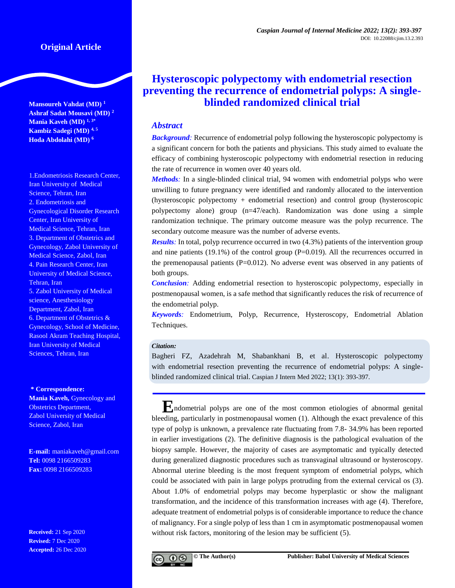**Mansoureh Vahdat (MD) <sup>1</sup> Ashraf Sadat Mousavi (MD) <sup>2</sup> Mania Kaveh (MD) 1, 3\* Kambiz Sadegi (MD) 4, 5 Hoda Abdolahi (MD) <sup>6</sup>**

1.Endometriosis Research Center, Iran University of Medical Science, Tehran, Iran 2. Endometriosis and Gynecological Disorder Research Center, Iran University of Medical Science, Tehran, Iran 3. Department of Obstetrics and Gynecology, Zabol University of Medical Science, Zabol, Iran 4. Pain Research Center, Iran University of Medical Science, Tehran, Iran 5. Zabol University of Medical science, Anesthesiology Department, Zabol, Iran 6. Department of Obstetrics & Gynecology, School of Medicine, Rasool Akram Teaching Hospital, Iran University of Medical Sciences, Tehran, Iran

#### **\* Correspondence:**

**Mania Kaveh,** Gynecology and Obstetrics Department, Zabol University of Medical Science, Zabol, Iran

**E-mail:** [maniakaveh@gmail.com](mailto:maniakaveh@gmail.com) **Tel:** 0098 2166509283 **Fax:** 0098 2166509283

**Received:** 21 Sep 2020 **Revised:** 7 Dec 2020 **Accepted:** 26 Dec 2020

# **Hysteroscopic polypectomy with endometrial resection preventing the recurrence of endometrial polyps: A singleblinded randomized clinical trial**

## *Abstract*

*Background:* Recurrence of endometrial polyp following the hysteroscopic polypectomy is a significant concern for both the patients and physicians. This study aimed to evaluate the efficacy of combining hysteroscopic polypectomy with endometrial resection in reducing the rate of recurrence in women over 40 years old.

*Methods:* In a single-blinded clinical trial, 94 women with endometrial polyps who were unwilling to future pregnancy were identified and randomly allocated to the intervention (hysteroscopic polypectomy + endometrial resection) and control group (hysteroscopic polypectomy alone) group (n=47/each). Randomization was done using a simple randomization technique. The primary outcome measure was the polyp recurrence. The secondary outcome measure was the number of adverse events.

*Results*: In total, polyp recurrence occurred in two (4.3%) patients of the intervention group and nine patients  $(19.1\%)$  of the control group  $(P=0.019)$ . All the recurrences occurred in the premenopausal patients  $(P=0.012)$ . No adverse event was observed in any patients of both groups.

*Conclusion:* Adding endometrial resection to hysteroscopic polypectomy, especially in postmenopausal women, is a safe method that significantly reduces the risk of recurrence of the endometrial polyp.

*Keywords:* Endometrium, Polyp, Recurrence, Hysteroscopy, Endometrial Ablation Techniques.

#### *Citation:*

Bagheri FZ, Azadehrah M, Shabankhani B, et al. Hysteroscopic polypectomy with endometrial resection preventing the recurrence of endometrial polyps: A singleblinded randomized clinical trial. Caspian J Intern Med 2022; 13(1): 393-397.

**E**<sub>ndometrial polyps are one of the most common etiologies of abnormal genital</sub> bleeding, particularly in postmenopausal women (1). Although the exact prevalence of this type of polyp is unknown, a prevalence rate fluctuating from 7.8- 34.9% has been reported in earlier investigations (2). The definitive diagnosis is the pathological evaluation of the biopsy sample. However, the majority of cases are asymptomatic and typically detected during generalized diagnostic procedures such as transvaginal ultrasound or hysteroscopy. Abnormal uterine bleeding is the most frequent symptom of endometrial polyps, which could be associated with pain in large polyps protruding from the external cervical os (3). About 1.0% of endometrial polyps may become hyperplastic or show the malignant transformation, and the incidence of this transformation increases with age (4). Therefore, adequate treatment of endometrial polyps is of considerable importance to reduce the chance of malignancy. For a single polyp of less than 1 cm in asymptomatic postmenopausal women without risk factors, monitoring of the lesion may be sufficient (5).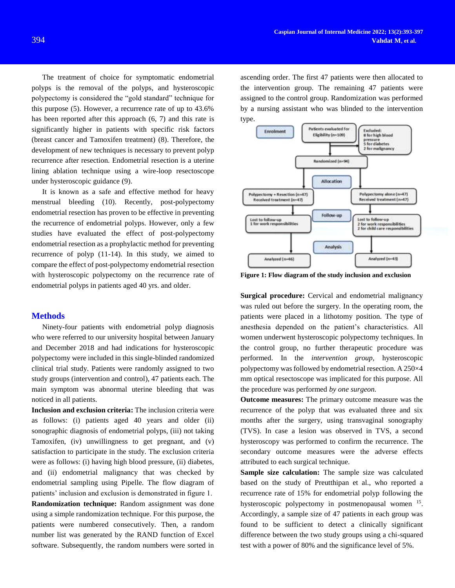The treatment of choice for symptomatic endometrial polyps is the removal of the polyps, and hysteroscopic polypectomy is considered the "gold standard" technique for this purpose (5). However, a recurrence rate of up to 43.6% has been reported after this approach (6, 7) and this rate is significantly higher in patients with specific risk factors (breast cancer and Tamoxifen treatment) (8). Therefore, the development of new techniques is necessary to prevent polyp recurrence after resection. Endometrial resection is a uterine lining ablation technique using a wire-loop resectoscope under hysteroscopic guidance (9).

It is known as a safe and effective method for heavy menstrual bleeding (10). Recently, post-polypectomy endometrial resection has proven to be effective in preventing the recurrence of endometrial polyps. However, only a few studies have evaluated the effect of post-polypectomy endometrial resection as a prophylactic method for preventing recurrence of polyp (11-14). In this study, we aimed to compare the effect of post-polypectomy endometrial resection with hysteroscopic polypectomy on the recurrence rate of endometrial polyps in patients aged 40 yrs. and older.

#### **Methods**

Ninety-four patients with endometrial polyp diagnosis who were referred to our university hospital between January and December 2018 and had indications for hysteroscopic polypectomy were included in this single-blinded randomized clinical trial study. Patients were randomly assigned to two study groups (intervention and control), 47 patients each. The main symptom was abnormal uterine bleeding that was noticed in all patients.

**Inclusion and exclusion criteria:** The inclusion criteria were as follows: (i) patients aged 40 years and older (ii) sonographic diagnosis of endometrial polyps, (iii) not taking Tamoxifen, (iv) unwillingness to get pregnant, and (v) satisfaction to participate in the study. The exclusion criteria were as follows: (i) having high blood pressure, (ii) diabetes, and (ii) endometrial malignancy that was checked by endometrial sampling using Pipelle. The flow diagram of patients' inclusion and exclusion is demonstrated in figure 1.

**Randomization technique:** Random assignment was done using a simple randomization technique. For this purpose, the patients were numbered consecutively. Then, a random number list was generated by the RAND function of Excel software. Subsequently, the random numbers were sorted in

ascending order. The first 47 patients were then allocated to the intervention group. The remaining 47 patients were assigned to the control group. Randomization was performed by a nursing assistant who was blinded to the intervention type.



**Figure 1: Flow diagram of the study inclusion and exclusion**

**Surgical procedure:** Cervical and endometrial malignancy was ruled out before the surgery. In the operating room, the patients were placed in a lithotomy position. The type of anesthesia depended on the patient's characteristics. All women underwent hysteroscopic polypectomy techniques. In the control group, no further therapeutic procedure was performed. In the *intervention group,* hysteroscopic polypectomy was followed by endometrial resection. A 250×4 mm optical resectoscope was implicated for this purpose. All the procedure was performed *by one surgeon.* 

**Outcome measures:** The primary outcome measure was the recurrence of the polyp that was evaluated three and six months after the surgery, using transvaginal sonography (TVS). In case a lesion was observed in TVS, a second hysteroscopy was performed to confirm the recurrence. The secondary outcome measures were the adverse effects attributed to each surgical technique.

**Sample size calculation:** The sample size was calculated based on the study of Preutthipan et al., who reported a recurrence rate of 15% for endometrial polyp following the hysteroscopic polypectomy in postmenopausal women <sup>[15](#page-4-0)</sup>. Accordingly, a sample size of 47 patients in each group was found to be sufficient to detect a clinically significant difference between the two study groups using a chi-squared test with a power of 80% and the significance level of 5%.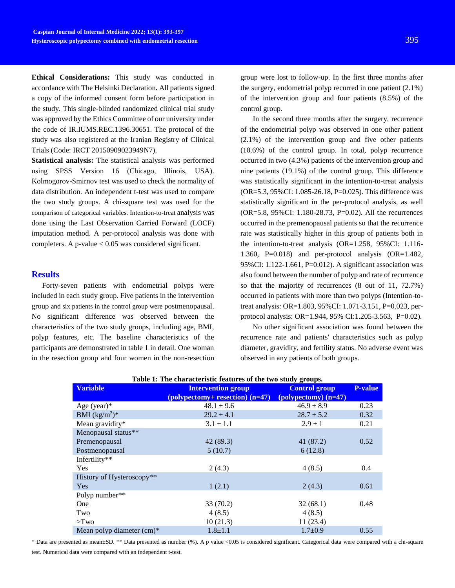**Ethical Considerations:** This study was conducted in accordance with The Helsinki Declaration**.** All patients signed a copy of the informed consent form before participation in the study. This single-blinded randomized clinical trial study was approved by the Ethics Committee of our university under the code of IR.IUMS.REC.1396.30651. The protocol of the study was also registered at the Iranian Registry of Clinical Trials (Code: IRCT 20150909023949N7).

**Statistical analysis:** The statistical analysis was performed using SPSS Version 16 (Chicago, Illinois, USA). Kolmogorov-Smirnov test was used to check the normality of data distribution. An independent t-test was used to compare the two study groups. A chi-square test was used for the comparison of categorical variables. Intention-to-treat analysis was done using the Last Observation Carried Forward (LOCF) imputation method. A per-protocol analysis was done with completers. A p-value < 0.05 was considered significant.

#### **Results**

Forty-seven patients with endometrial polyps were included in each study group. Five patients in the intervention group and six patients in the control group were postmenopausal. No significant difference was observed between the characteristics of the two study groups, including age, BMI, polyp features, etc. The baseline characteristics of the participants are demonstrated in table 1 in detail. One woman in the resection group and four women in the non-resection

group were lost to follow-up. In the first three months after the surgery, endometrial polyp recurred in one patient (2.1%) of the intervention group and four patients (8.5%) of the control group.

In the second three months after the surgery, recurrence of the endometrial polyp was observed in one other patient (2.1%) of the intervention group and five other patients (10.6%) of the control group. In total, polyp recurrence occurred in two (4.3%) patients of the intervention group and nine patients (19.1%) of the control group. This difference was statistically significant in the intention-to-treat analysis (OR=5.3, 95%CI: 1.085-26.18, P=0.025). This difference was statistically significant in the per-protocol analysis, as well (OR=5.8, 95%CI: 1.180-28.73, P=0.02). All the recurrences occurred in the premenopausal patients so that the recurrence rate was statistically higher in this group of patients both in the intention-to-treat analysis (OR=1.258, 95%CI: 1.116- 1.360, P=0.018) and per-protocol analysis (OR=1.482, 95%CI: 1.122-1.661, P=0.012). A significant association was also found between the number of polyp and rate of recurrence so that the majority of recurrences (8 out of 11, 72.7%) occurred in patients with more than two polyps (Intention-totreat analysis: OR=1.803, 95%CI: 1.071-3.151, P=0.023, perprotocol analysis: OR=1.944, 95% CI:1.205-3.563, P=0.02).

No other significant association was found between the recurrence rate and patients' characteristics such as polyp diameter, gravidity, and fertility status. No adverse event was observed in any patients of both groups.

| Table 1: The characteristic leatures of the two study groups. |                                                 |                                                        |                |  |  |
|---------------------------------------------------------------|-------------------------------------------------|--------------------------------------------------------|----------------|--|--|
| <b>Variable</b>                                               | <b>Intervention group</b>                       | <b>Control group</b>                                   | <b>P-value</b> |  |  |
|                                                               | $\frac{1}{2}$ (polypectomy+ resection) $(n=47)$ | $\left($ polypectomy $\right)$ $\left($ n=47 $\right)$ |                |  |  |
| Age (year) $*$                                                | $48.1 \pm 9.6$                                  | $46.9 \pm 8.9$                                         | 0.23           |  |  |
| BMI $(kg/m^2)^*$                                              | $29.2 \pm 4.1$                                  | $28.7 \pm 5.2$                                         | 0.32           |  |  |
| Mean gravidity*                                               | $3.1 \pm 1.1$                                   | $2.9 \pm 1$                                            | 0.21           |  |  |
| Menopausal status**                                           |                                                 |                                                        |                |  |  |
| Premenopausal                                                 | 42 (89.3)                                       | 41(87.2)                                               | 0.52           |  |  |
| Postmenopausal                                                | 5(10.7)                                         | 6(12.8)                                                |                |  |  |
| Infertility**                                                 |                                                 |                                                        |                |  |  |
| Yes                                                           | 2(4.3)                                          | 4(8.5)                                                 | 0.4            |  |  |
| History of Hysteroscopy**                                     |                                                 |                                                        |                |  |  |
| Yes                                                           | 1(2.1)                                          | 2(4.3)                                                 | 0.61           |  |  |
| Polyp number**                                                |                                                 |                                                        |                |  |  |
| One                                                           | 33(70.2)                                        | 32(68.1)                                               | 0.48           |  |  |
| Two                                                           | 4(8.5)                                          | 4(8.5)                                                 |                |  |  |
| $>$ Two                                                       | 10(21.3)                                        | 11(23.4)                                               |                |  |  |
| Mean polyp diameter $(cm)*$                                   | $1.8 + 1.1$                                     | $1.7 \pm 0.9$                                          | 0.55           |  |  |

**Table 1: The characteristic features of the two study groups.**

\* Data are presented as mean±SD. \*\* Data presented as number (%). A p value <0.05 is considered significant. Categorical data were compared with a chi-square test. Numerical data were compared with an independent t-test.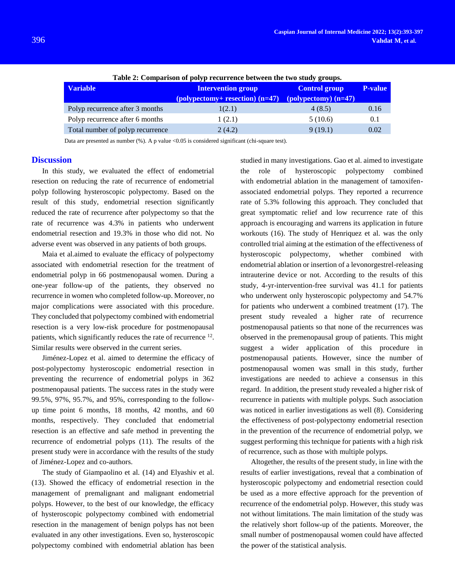| Table 2: Comparison of polyp recurrence between the two study groups. |                                                  |                                                         |                |  |
|-----------------------------------------------------------------------|--------------------------------------------------|---------------------------------------------------------|----------------|--|
| <b>Variable</b>                                                       | <b>Intervention group</b>                        | <b>Control group</b>                                    | <b>P-value</b> |  |
|                                                                       | $\left($ polypectomy+ resection $\right)$ (n=47) | $\left( \text{polypectrum} \right) \left( n=47 \right)$ |                |  |
| Polyp recurrence after 3 months                                       | 1(2.1)                                           | 4(8.5)                                                  | 0.16           |  |
| Polyp recurrence after 6 months                                       | 1(2.1)                                           | 5(10.6)                                                 | 0.1            |  |
| Total number of polyp recurrence                                      | 2(4.2)                                           | 9(19.1)                                                 | 0.02           |  |

**Table 2: Comparison of polyp recurrence between the two study groups.**

Data are presented as number (%). A p value <0.05 is considered significant (chi-square test).

#### **Discussion**

In this study, we evaluated the effect of endometrial resection on reducing the rate of recurrence of endometrial polyp following hysteroscopic polypectomy. Based on the result of this study, endometrial resection significantly reduced the rate of recurrence after polypectomy so that the rate of recurrence was 4.3% in patients who underwent endometrial resection and 19.3% in those who did not. No adverse event was observed in any patients of both groups.

Maia et al.aimed to evaluate the efficacy of polypectomy associated with endometrial resection for the treatment of endometrial polyp in 66 postmenopausal women. During a one-year follow-up of the patients, they observed no recurrence in women who completed follow-up. Moreover, no major complications were associated with this procedure. They concluded that polypectomy combined with endometrial resection is a very low-risk procedure for postmenopausal patients, which significantly reduces the rate of recurrence <sup>[12](#page-4-1)</sup>. Similar results were observed in the current series.

Jiménez-Lopez et al. aimed to determine the efficacy of post-polypectomy hysteroscopic endometrial resection in preventing the recurrence of endometrial polyps in 362 postmenopausal patients. The success rates in the study were 99.5%, 97%, 95.7%, and 95%, corresponding to the followup time point 6 months, 18 months, 42 months, and 60 months, respectively. They concluded that endometrial resection is an effective and safe method in preventing the recurrence of endometrial polyps (11). The results of the present study were in accordance with the results of the study of Jiménez-Lopez and co-authors.

The study of Giampaolino et al. (14) and Elyashiv et al. (13). Showed the efficacy of endometrial resection in the management of premalignant and malignant endometrial polyps. However, to the best of our knowledge, the efficacy of hysteroscopic polypectomy combined with endometrial resection in the management of benign polyps has not been evaluated in any other investigations. Even so, hysteroscopic polypectomy combined with endometrial ablation has been studied in many investigations. Gao et al. aimed to investigate the role of hysteroscopic polypectomy combined with endometrial ablation in the management of tamoxifenassociated endometrial polyps. They reported a recurrence rate of 5.3% following this approach. They concluded that great symptomatic relief and low recurrence rate of this approach is encouraging and warrens its application in future workouts (16). The study of Henriquez et al. was the only controlled trial aiming at the estimation of the effectiveness of hysteroscopic polypectomy, whether combined with endometrial ablation or insertion of a levonorgestrel-releasing intrauterine device or not. According to the results of this study, 4-yr-intervention-free survival was 41.1 for patients who underwent only hysteroscopic polypectomy and 54.7% for patients who underwent a combined treatment (17). The present study revealed a higher rate of recurrence postmenopausal patients so that none of the recurrences was observed in the premenopausal group of patients. This might suggest a wider application of this procedure in postmenopausal patients. However, since the number of postmenopausal women was small in this study, further investigations are needed to achieve a consensus in this regard. In addition, the present study revealed a higher risk of recurrence in patients with multiple polyps. Such association was noticed in earlier investigations as well (8). Considering the effectiveness of post-polypectomy endometrial resection in the prevention of the recurrence of endometrial polyp, we suggest performing this technique for patients with a high risk of recurrence, such as those with multiple polyps.

Altogether, the results of the present study, in line with the results of earlier investigations, reveal that a combination of hysteroscopic polypectomy and endometrial resection could be used as a more effective approach for the prevention of recurrence of the endometrial polyp. However, this study was not without limitations. The main limitation of the study was the relatively short follow-up of the patients. Moreover, the small number of postmenopausal women could have affected the power of the statistical analysis.